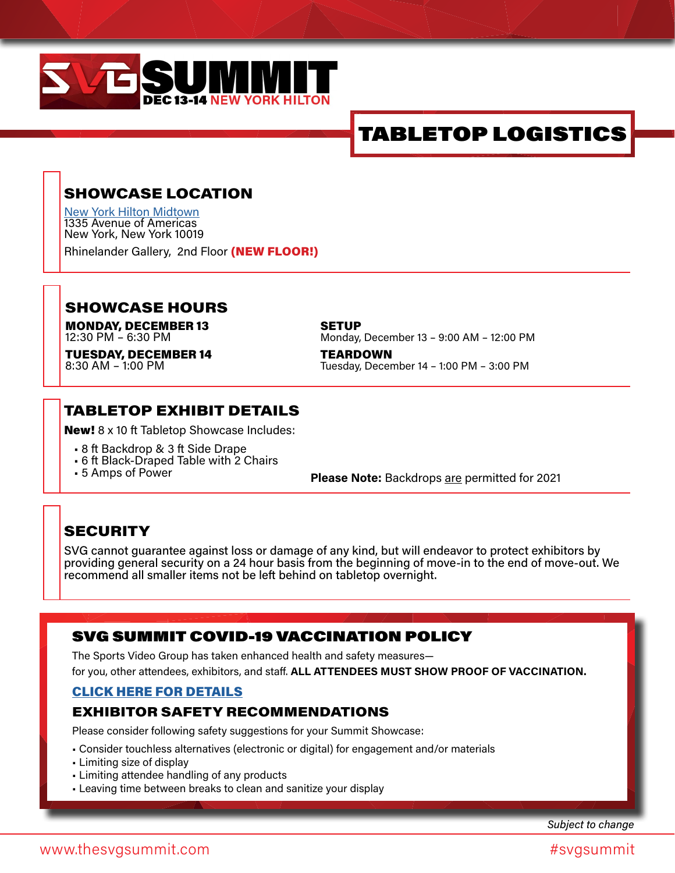

## TABLETOP LOGISTICS

## SHOWCASE LOCATION

[New York Hilton Midtown](https://www.hilton.com/en/hotels/nycnhhh-new-york-hilton-midtown/?WT.mc_id=zlada0ww1hi2psh3ggl4advbpp5dkt6multibr7_153669424_1003528_CPAvROAS_CPA&gclid=Cj0KCQjwwY-LBhD6ARIsACvT72OSIua-6K75ZRSgcb5kNq5mm46U2EfkQGke7U1iXihX3O6bp1opkIcaAkM8EALw_wcB&gclsrc=aw.ds) 1335 Avenue of Americas New York, New York 10019

Rhinelander Gallery, 2nd Floor (NEW FLOOR!)

#### SHOWCASE HOURS

MONDAY, DECEMBER 13 12:30 PM – 6:30 PM

TUESDAY, DECEMBER 14 8:30 AM – 1:00 PM

**SETUP** Monday, December 13 – 9:00 AM – 12:00 PM

**TEARDOWN** Tuesday, December 14 – 1:00 PM – 3:00 PM

#### TABLETOP EXHIBIT DETAILS

New! 8 x 10 ft Tabletop Showcase Includes:

- 8 ft Backdrop & 3 ft Side Drape
- 6 ft Black-Draped Table with 2 Chairs<br>• 5 Amps of Power
- 

**Please Note:** Backdrops are permitted for 2021

#### **SECURITY**

SVG cannot guarantee against loss or damage of any kind, but will endeavor to protect exhibitors by providing general security on a 24 hour basis from the beginning of move-in to the end of move-out. We recommend all smaller items not be left behind on tabletop overnight.

#### SVG SUMMIT COVID-19 VACCINATION POLICY

The Sports Video Group has taken enhanced health and safety measures for you, other attendees, exhibitors, and staff. **ALL ATTENDEES MUST SHOW PROOF OF VACCINATION.**

#### [CLICK HERE FOR DETAILS](https://www.thesvgsummit.com/covid-19-vaccination-policy/)

#### EXHIBITOR SAFETY RECOMMENDATIONS

Please consider following safety suggestions for your Summit Showcase:

- Consider touchless alternatives (electronic or digital) for engagement and/or materials
- Limiting size of display
- Limiting attendee handling of any products
- Leaving time between breaks to clean and sanitize your display

*Subject to change*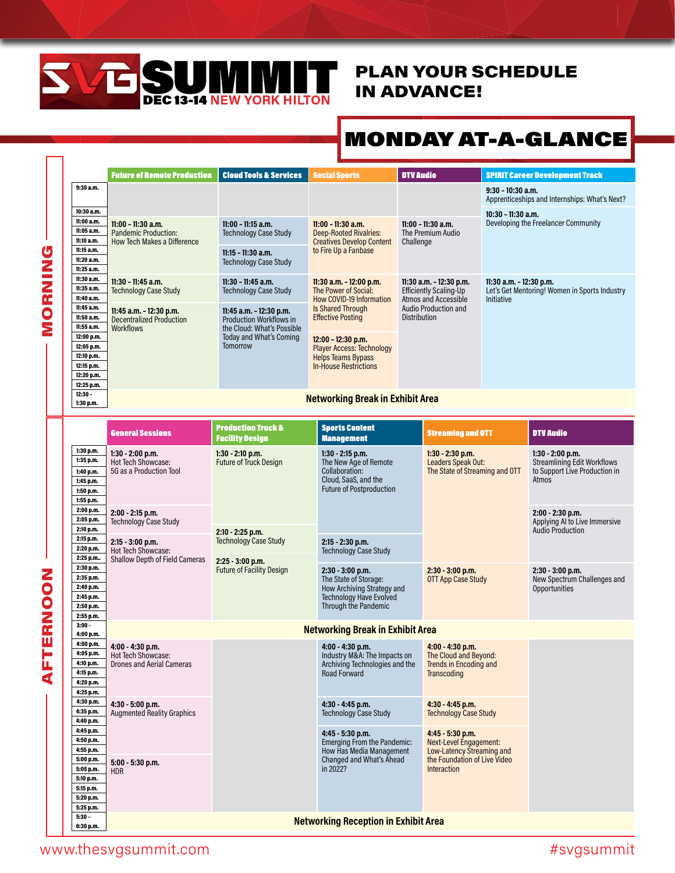

## PLAN YOUR SCHEDULE IN ADVANCE!

## MONDAY AT-A-GLANCE

| <b>Future of Remote Production</b><br><b>Cloud Tools &amp; Services</b><br><b>Social Sports</b><br><b>DTV Audio</b><br><b>SPIRIT Career Development Track</b><br>9:30 a.m.<br>$9:30 - 10:30$ a.m.<br>Apprenticeships and Internships: What's Next?<br>10:30 a.m.<br>$10:30 - 11:30$ a.m.<br>11:00 a.m.<br>Developing the Freelancer Community<br>$11:00 - 11:15$ a.m.<br>11:00 - 11:30 a.m.<br>$11:00 - 11:30$ a.m.<br>$11:00 - 11:30$ a.m.<br>11:05 a.m.<br>The Premium Audio<br><b>Pandemic Production:</b><br><b>Technology Case Study</b><br><b>Deep-Rooted Rivalries:</b><br>11:10 a.m.<br><b>How Tech Makes a Difference</b><br><b>Creatives Develop Content</b><br>Challenge<br>11:15 a.m.<br>to Fire Up a Fanbase<br>$11:15 - 11:30$ a.m.<br>11:20a.m.<br><b>Technology Case Study</b><br>11:25 a.m.<br>11:30 a.m.<br>11:30 - 11:45 a.m.<br>$11:30 - 11:45$ a.m.<br>11:30 a.m. - 12:00 p.m.<br>11:30 a.m. - 12:30 p.m.<br>11:30 a.m. - 12:30 p.m.<br>11:35 a.m.<br>Let's Get Mentoring! Women in Sports Industry<br><b>Technology Case Study</b><br><b>Technology Case Study</b><br>The Power of Social:<br><b>Efficiently Scaling-Up</b><br>11:40 a.m.<br><b>Atmos and Accessible</b><br>How COVID-19 Information<br>Initiative<br>11:45 a.m.<br>Is Shared Through<br>Audio Production and<br>11:45 a.m. - 12:30 p.m.<br>11:45 a.m. - 12:30 p.m.<br><b>Effective Posting</b><br><b>Distribution</b><br>11:50 a.m.<br><b>Decentralized Production</b><br><b>Production Workflows in</b><br>11:55 a.m.<br><b>Workflows</b><br>the Cloud: What's Possible<br>12:00 p.m.<br>Today and What's Coming<br>12:00 - 12:30 p.m.<br>12:05 p.m.<br>Tomorrow<br><b>Player Access: Technology</b><br>12:10 p.m.<br><b>Helps Teams Bypass</b><br>12:15 p.m.<br><b>In-House Restrictions</b><br>12:20 p.m.<br>12:25 p.m.<br>$12:30 -$<br><b>Networking Break in Exhibit Area</b><br>1:30 p.m.<br><b>Production Truck &amp;</b><br><b>Sports Content</b><br><b>General Sessions</b><br><b>DTV Audio</b><br><b>Streaming and OTT</b><br><b>Management</b><br><b>Facility Design</b><br>1:30 p.m.<br>1:30 - 2:00 p.m.<br>$1:30 - 2:30$ p.m.<br>$1:30 - 2:00$ p.m.<br>$1:30 - 2:10$ p.m.<br>$1:30 - 2:15$ p.m.<br>1:35 p.m.<br>Hot Tech Showcase:<br><b>Future of Truck Design</b><br>The New Age of Remote<br>Leaders Speak Out:<br><b>Streamlining Edit Workflows</b><br>Collaboration:<br>The State of Streaming and OTT<br>5G as a Production Tool<br>to Support Live Production in<br>1:40 p.m.<br>Cloud, SaaS, and the<br>Atmos<br>1:45 p.m.<br><b>Future of Postproduction</b><br>1:50 p.m.<br>1:55 p.m.<br>2:00 p.m.<br>2:00 - 2:15 p.m.<br>$2:00 - 2:30$ p.m.<br>2:05 p.m.<br><b>Technology Case Study</b><br>Applying AI to Live Immersive<br>2:10 p.m.<br><b>Audio Production</b><br>2:10 - 2:25 p.m.<br>2:15 p.m.<br><b>Technology Case Study</b><br>2:15 - 3:00 p.m.<br>2:15 - 2:30 p.m.<br>2:20 p.m.<br>Hot Tech Showcase:<br><b>Technology Case Study</b><br>2:25 p.m.<br><b>Shallow Depth of Field Cameras</b><br>2:25 - 3:00 p.m.<br>2:30 p.m.<br><b>Future of Facility Design</b><br>2:30 - 3:00 p.m.<br>$2:30 - 3:00$ p.m.<br>$2:30 - 3:00$ p.m.<br>2:35 p.m.<br>The State of Storage:<br><b>OTT App Case Study</b><br>New Spectrum Challenges and<br>2:40 p.m. |  |
|-------------------------------------------------------------------------------------------------------------------------------------------------------------------------------------------------------------------------------------------------------------------------------------------------------------------------------------------------------------------------------------------------------------------------------------------------------------------------------------------------------------------------------------------------------------------------------------------------------------------------------------------------------------------------------------------------------------------------------------------------------------------------------------------------------------------------------------------------------------------------------------------------------------------------------------------------------------------------------------------------------------------------------------------------------------------------------------------------------------------------------------------------------------------------------------------------------------------------------------------------------------------------------------------------------------------------------------------------------------------------------------------------------------------------------------------------------------------------------------------------------------------------------------------------------------------------------------------------------------------------------------------------------------------------------------------------------------------------------------------------------------------------------------------------------------------------------------------------------------------------------------------------------------------------------------------------------------------------------------------------------------------------------------------------------------------------------------------------------------------------------------------------------------------------------------------------------------------------------------------------------------------------------------------------------------------------------------------------------------------------------------------------------------------------------------------------------------------------------------------------------------------------------------------------------------------------------------------------------------------------------------------------------------------------------------------------------------------------------------------------------------------------------------------------------------------------------------------------------------------------------------------------------------------------------------------------------------------------------------------------------------------------------------------------------------------------------------------------------------------------------------------------------------------------------------------------------------------------------------------------------------------------|--|
|                                                                                                                                                                                                                                                                                                                                                                                                                                                                                                                                                                                                                                                                                                                                                                                                                                                                                                                                                                                                                                                                                                                                                                                                                                                                                                                                                                                                                                                                                                                                                                                                                                                                                                                                                                                                                                                                                                                                                                                                                                                                                                                                                                                                                                                                                                                                                                                                                                                                                                                                                                                                                                                                                                                                                                                                                                                                                                                                                                                                                                                                                                                                                                                                                                                                         |  |
|                                                                                                                                                                                                                                                                                                                                                                                                                                                                                                                                                                                                                                                                                                                                                                                                                                                                                                                                                                                                                                                                                                                                                                                                                                                                                                                                                                                                                                                                                                                                                                                                                                                                                                                                                                                                                                                                                                                                                                                                                                                                                                                                                                                                                                                                                                                                                                                                                                                                                                                                                                                                                                                                                                                                                                                                                                                                                                                                                                                                                                                                                                                                                                                                                                                                         |  |
|                                                                                                                                                                                                                                                                                                                                                                                                                                                                                                                                                                                                                                                                                                                                                                                                                                                                                                                                                                                                                                                                                                                                                                                                                                                                                                                                                                                                                                                                                                                                                                                                                                                                                                                                                                                                                                                                                                                                                                                                                                                                                                                                                                                                                                                                                                                                                                                                                                                                                                                                                                                                                                                                                                                                                                                                                                                                                                                                                                                                                                                                                                                                                                                                                                                                         |  |
|                                                                                                                                                                                                                                                                                                                                                                                                                                                                                                                                                                                                                                                                                                                                                                                                                                                                                                                                                                                                                                                                                                                                                                                                                                                                                                                                                                                                                                                                                                                                                                                                                                                                                                                                                                                                                                                                                                                                                                                                                                                                                                                                                                                                                                                                                                                                                                                                                                                                                                                                                                                                                                                                                                                                                                                                                                                                                                                                                                                                                                                                                                                                                                                                                                                                         |  |
|                                                                                                                                                                                                                                                                                                                                                                                                                                                                                                                                                                                                                                                                                                                                                                                                                                                                                                                                                                                                                                                                                                                                                                                                                                                                                                                                                                                                                                                                                                                                                                                                                                                                                                                                                                                                                                                                                                                                                                                                                                                                                                                                                                                                                                                                                                                                                                                                                                                                                                                                                                                                                                                                                                                                                                                                                                                                                                                                                                                                                                                                                                                                                                                                                                                                         |  |
|                                                                                                                                                                                                                                                                                                                                                                                                                                                                                                                                                                                                                                                                                                                                                                                                                                                                                                                                                                                                                                                                                                                                                                                                                                                                                                                                                                                                                                                                                                                                                                                                                                                                                                                                                                                                                                                                                                                                                                                                                                                                                                                                                                                                                                                                                                                                                                                                                                                                                                                                                                                                                                                                                                                                                                                                                                                                                                                                                                                                                                                                                                                                                                                                                                                                         |  |
|                                                                                                                                                                                                                                                                                                                                                                                                                                                                                                                                                                                                                                                                                                                                                                                                                                                                                                                                                                                                                                                                                                                                                                                                                                                                                                                                                                                                                                                                                                                                                                                                                                                                                                                                                                                                                                                                                                                                                                                                                                                                                                                                                                                                                                                                                                                                                                                                                                                                                                                                                                                                                                                                                                                                                                                                                                                                                                                                                                                                                                                                                                                                                                                                                                                                         |  |
|                                                                                                                                                                                                                                                                                                                                                                                                                                                                                                                                                                                                                                                                                                                                                                                                                                                                                                                                                                                                                                                                                                                                                                                                                                                                                                                                                                                                                                                                                                                                                                                                                                                                                                                                                                                                                                                                                                                                                                                                                                                                                                                                                                                                                                                                                                                                                                                                                                                                                                                                                                                                                                                                                                                                                                                                                                                                                                                                                                                                                                                                                                                                                                                                                                                                         |  |
|                                                                                                                                                                                                                                                                                                                                                                                                                                                                                                                                                                                                                                                                                                                                                                                                                                                                                                                                                                                                                                                                                                                                                                                                                                                                                                                                                                                                                                                                                                                                                                                                                                                                                                                                                                                                                                                                                                                                                                                                                                                                                                                                                                                                                                                                                                                                                                                                                                                                                                                                                                                                                                                                                                                                                                                                                                                                                                                                                                                                                                                                                                                                                                                                                                                                         |  |
|                                                                                                                                                                                                                                                                                                                                                                                                                                                                                                                                                                                                                                                                                                                                                                                                                                                                                                                                                                                                                                                                                                                                                                                                                                                                                                                                                                                                                                                                                                                                                                                                                                                                                                                                                                                                                                                                                                                                                                                                                                                                                                                                                                                                                                                                                                                                                                                                                                                                                                                                                                                                                                                                                                                                                                                                                                                                                                                                                                                                                                                                                                                                                                                                                                                                         |  |
|                                                                                                                                                                                                                                                                                                                                                                                                                                                                                                                                                                                                                                                                                                                                                                                                                                                                                                                                                                                                                                                                                                                                                                                                                                                                                                                                                                                                                                                                                                                                                                                                                                                                                                                                                                                                                                                                                                                                                                                                                                                                                                                                                                                                                                                                                                                                                                                                                                                                                                                                                                                                                                                                                                                                                                                                                                                                                                                                                                                                                                                                                                                                                                                                                                                                         |  |
| How Archiving Strategy and<br><b>Opportunities</b><br>2:45 p.m.<br><b>Technology Have Evolved</b><br>Through the Pandemic<br>2:50 p.m.<br>2:55 p.m.                                                                                                                                                                                                                                                                                                                                                                                                                                                                                                                                                                                                                                                                                                                                                                                                                                                                                                                                                                                                                                                                                                                                                                                                                                                                                                                                                                                                                                                                                                                                                                                                                                                                                                                                                                                                                                                                                                                                                                                                                                                                                                                                                                                                                                                                                                                                                                                                                                                                                                                                                                                                                                                                                                                                                                                                                                                                                                                                                                                                                                                                                                                     |  |
| $3:00 -$<br><b>Networking Break in Exhibit Area</b><br>4:00 p.m.                                                                                                                                                                                                                                                                                                                                                                                                                                                                                                                                                                                                                                                                                                                                                                                                                                                                                                                                                                                                                                                                                                                                                                                                                                                                                                                                                                                                                                                                                                                                                                                                                                                                                                                                                                                                                                                                                                                                                                                                                                                                                                                                                                                                                                                                                                                                                                                                                                                                                                                                                                                                                                                                                                                                                                                                                                                                                                                                                                                                                                                                                                                                                                                                        |  |
| 4:00 p.m.<br>4:00 - 4:30 p.m.<br>4:00 - 4:30 p.m.<br>4:00 - 4:30 p.m.<br>4:05 p.m.<br><b>Hot Tech Showcase:</b><br>Industry M&A: The Impacts on<br>The Cloud and Beyond:<br>4:10 p.m.<br><b>Trends in Encoding and</b><br><b>Drones and Aerial Cameras</b><br>Archiving Technologies and the<br>4:15 p.m.<br><b>Road Forward</b><br>Transcoding<br>4:20 p.m.<br>4:25 p.m.                                                                                                                                                                                                                                                                                                                                                                                                                                                                                                                                                                                                                                                                                                                                                                                                                                                                                                                                                                                                                                                                                                                                                                                                                                                                                                                                                                                                                                                                                                                                                                                                                                                                                                                                                                                                                                                                                                                                                                                                                                                                                                                                                                                                                                                                                                                                                                                                                                                                                                                                                                                                                                                                                                                                                                                                                                                                                               |  |
| 4:30 p.m.<br>$4:30 - 5:00$ p.m.<br>4:30 - 4:45 p.m.<br>4:30 - 4:45 p.m.<br>4:35 p.m.<br><b>Augmented Reality Graphics</b><br><b>Technology Case Study</b><br><b>Technology Case Study</b><br>4:40 p.m.<br>4:45 p.m.<br>4:45 - 5:30 p.m.<br>4:45 - 5:30 p.m.                                                                                                                                                                                                                                                                                                                                                                                                                                                                                                                                                                                                                                                                                                                                                                                                                                                                                                                                                                                                                                                                                                                                                                                                                                                                                                                                                                                                                                                                                                                                                                                                                                                                                                                                                                                                                                                                                                                                                                                                                                                                                                                                                                                                                                                                                                                                                                                                                                                                                                                                                                                                                                                                                                                                                                                                                                                                                                                                                                                                             |  |
| 4:50 p.m.<br>Emerging From the Pandemic:<br>Next-Level Engagement:<br>4:55 p.m.<br>How Has Media Management<br>Low-Latency Streaming and<br>Changed and What's Ahead<br>the Foundation of Live Video<br>5:00 p.m.<br>5:00 - 5:30 p.m.<br>in 2022?<br>Interaction<br>5:05 p.m.<br>HDR<br>5:10 p.m.<br>5:15 p.m.                                                                                                                                                                                                                                                                                                                                                                                                                                                                                                                                                                                                                                                                                                                                                                                                                                                                                                                                                                                                                                                                                                                                                                                                                                                                                                                                                                                                                                                                                                                                                                                                                                                                                                                                                                                                                                                                                                                                                                                                                                                                                                                                                                                                                                                                                                                                                                                                                                                                                                                                                                                                                                                                                                                                                                                                                                                                                                                                                          |  |
| 5:20 p.m.<br>5:25 p.m.                                                                                                                                                                                                                                                                                                                                                                                                                                                                                                                                                                                                                                                                                                                                                                                                                                                                                                                                                                                                                                                                                                                                                                                                                                                                                                                                                                                                                                                                                                                                                                                                                                                                                                                                                                                                                                                                                                                                                                                                                                                                                                                                                                                                                                                                                                                                                                                                                                                                                                                                                                                                                                                                                                                                                                                                                                                                                                                                                                                                                                                                                                                                                                                                                                                  |  |
| $5:30 -$<br><b>Networking Reception in Exhibit Area</b><br>6:30 p.m.                                                                                                                                                                                                                                                                                                                                                                                                                                                                                                                                                                                                                                                                                                                                                                                                                                                                                                                                                                                                                                                                                                                                                                                                                                                                                                                                                                                                                                                                                                                                                                                                                                                                                                                                                                                                                                                                                                                                                                                                                                                                                                                                                                                                                                                                                                                                                                                                                                                                                                                                                                                                                                                                                                                                                                                                                                                                                                                                                                                                                                                                                                                                                                                                    |  |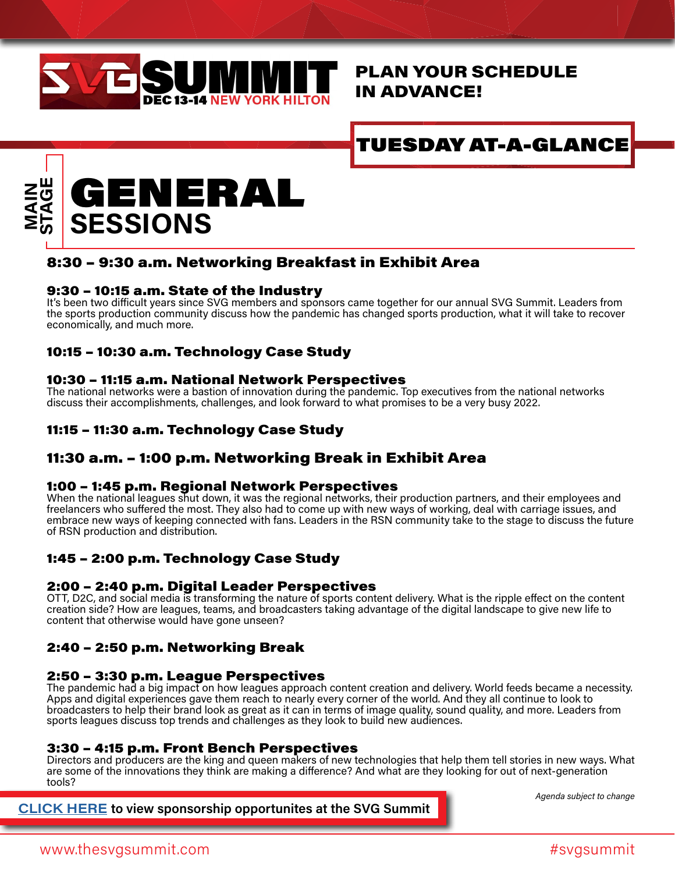

## PLAN YOUR SCHEDULE IN ADVANCE!

## TUESDAY AT-A-GLANCE



#### 8:30 – 9:30 a.m. Networking Breakfast in Exhibit Area

#### 9:30 – 10:15 a.m. State of the Industry

It's been two difficult years since SVG members and sponsors came together for our annual SVG Summit. Leaders from the sports production community discuss how the pandemic has changed sports production, what it will take to recover economically, and much more.

#### 10:15 – 10:30 a.m. Technology Case Study

#### 10:30 – 11:15 a.m. National Network Perspectives

The national networks were a bastion of innovation during the pandemic. Top executives from the national networks discuss their accomplishments, challenges, and look forward to what promises to be a very busy 2022.

#### 11:15 – 11:30 a.m. Technology Case Study

#### 11:30 a.m. – 1:00 p.m. Networking Break in Exhibit Area

#### 1:00 – 1:45 p.m. Regional Network Perspectives

When the national leagues shut down, it was the regional networks, their production partners, and their employees and freelancers who suffered the most. They also had to come up with new ways of working, deal with carriage issues, and embrace new ways of keeping connected with fans. Leaders in the RSN community take to the stage to discuss the future of RSN production and distribution.

#### 1:45 – 2:00 p.m. Technology Case Study

#### 2:00 – 2:40 p.m. Digital Leader Perspectives

OTT, D2C, and social media is transforming the nature of sports content delivery. What is the ripple effect on the content creation side? How are leagues, teams, and broadcasters taking advantage of the digital landscape to give new life to content that otherwise would have gone unseen?

#### 2:40 – 2:50 p.m. Networking Break

#### 2:50 – 3:30 p.m. League Perspectives

The pandemic had a big impact on how leagues approach content creation and delivery. World feeds became a necessity. Apps and digital experiences gave them reach to nearly every corner of the world. And they all continue to look to broadcasters to help their brand look as great as it can in terms of image quality, sound quality, and more. Leaders from sports leagues discuss top trends and challenges as they look to build new audiences.

#### 3:30 – 4:15 p.m. Front Bench Perspectives

Directors and producers are the king and queen makers of new technologies that help them tell stories in new ways. What are some of the innovations they think are making a difference? And what are they looking for out of next-generation tools?

**[CLICK HERE](https://www.thesvgsummit.com/wp-content/uploads/2021/10/2021_SVGSUMMIT_DECK.pdf) to view sponsorship opportunites at the SVG Summit**

*Agenda subject to change*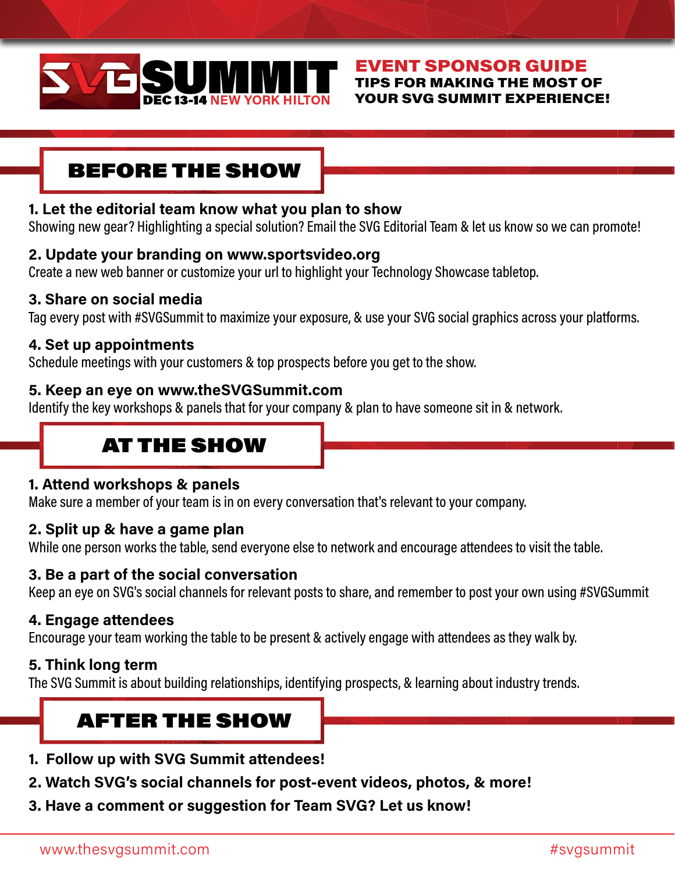

#### EVENT SPONSOR GUIDE TIPS FOR MAKING THE MOST OF YOUR SVG SUMMIT EXPERIENCE!

## BEFORE THE SHOW

#### **1. Let the editorial team know what you plan to show**

Showing new gear? Highlighting a special solution? Email the SVG Editorial Team & let us know so we can promote!

#### **2. Update your branding on www.sportsvideo.org**

Create a new web banner or customize your url to highlight your Technology Showcase tabletop.

#### **3. Share on social media**

Tag every post with #SVGSummit to maximize your exposure, & use your SVG social graphics across your platforms.

#### **4. Set up appointments**

Schedule meetings with your customers & top prospects before you get to the show.

#### **5. Keep an eye on www.theSVGSummit.com**

Identify the key workshops & panels that for your company & plan to have someone sit in & network.

## AT THE SHOW

#### **1. Attend workshops & panels**

Make sure a member of your team is in on every conversation that's relevant to your company.

#### **2. Split up & have a game plan**

While one person works the table, send everyone else to network and encourage attendees to visit the table.

## **3. Be a part of the social conversation**

Keep an eye on SVG's social channels for relevant posts to share, and remember to post your own using #SVGSummit

#### **4. Engage attendees**

Encourage your team working the table to be present & actively engage with attendees as they walk by.

#### **5. Think long term**

The SVG Summit is about building relationships, identifying prospects, & learning about industry trends.

## AFTER THE SHOW

- **1. Follow up with SVG Summit attendees!**
- **2. Watch SVG's social channels for post-event videos, photos, & more!**
- **3. Have a comment or suggestion for Team SVG? Let us know!**